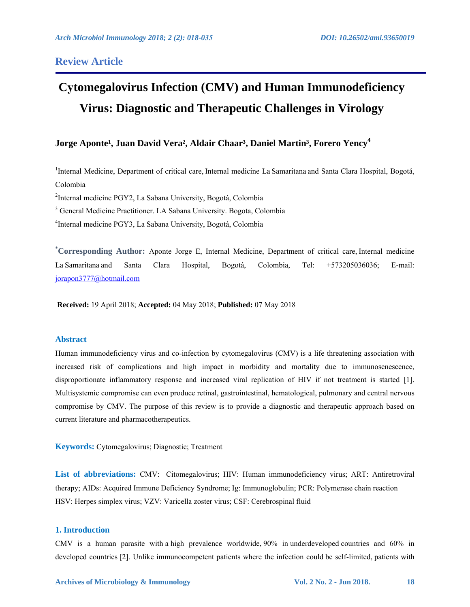## **Review Article**

# **Cytomegalovirus Infection (CMV) and Human Immunodeficiency Virus: Diagnostic and Therapeutic Challenges in Virology**

# Jorge Aponte<sup>1</sup>, Juan David Vera<sup>2</sup>, Aldair Chaar<sup>3</sup>, Daniel Martin<sup>3</sup>, Forero Yency<sup>4</sup>

<sup>1</sup>Internal Medicine, Department of critical care, Internal medicine La Samaritana and Santa Clara Hospital, Bogotá, Colombia

2 Internal medicine PGY2, La Sabana University, Bogotá, Colombia

<sup>3</sup> General Medicine Practitioner. LA Sabana University. Bogota, Colombia

4 Internal medicine PGY3, La Sabana University, Bogotá, Colombia

**\* Corresponding Author:** Aponte Jorge E, Internal Medicine, Department of critical care, Internal medicine La Samaritana and Santa Clara Hospital, Bogotá, Colombia, Tel: +573205036036; E-mail: jorapon3777@hotmail.com

**Received:** 19 April 2018; **Accepted:** 04 May 2018; **Published:** 07 May 2018

## **Abstract**

Human immunodeficiency virus and co-infection by cytomegalovirus (CMV) is a life threatening association with increased risk of complications and high impact in morbidity and mortality due to immunosenescence, disproportionate inflammatory response and increased viral replication of HIV if not treatment is started [1]. Multisystemic compromise can even produce retinal, gastrointestinal, hematological, pulmonary and central nervous compromise by CMV. The purpose of this review is to provide a diagnostic and therapeutic approach based on current literature and pharmacotherapeutics.

**Keywords:** Cytomegalovirus; Diagnostic; Treatment

List of abbreviations: CMV: Citomegalovirus; HIV: Human immunodeficiency virus; ART: Antiretroviral therapy; AIDs: Acquired Immune Deficiency Syndrome; Ig: Immunoglobulin; PCR: Polymerase chain reaction HSV: Herpes simplex virus; VZV: Varicella zoster virus; CSF: Cerebrospinal fluid

#### **1. Introduction**

CMV is a human parasite with a high prevalence worldwide, 90% in underdeveloped countries and 60% in developed countries [2]. Unlike immunocompetent patients where the infection could be self-limited, patients with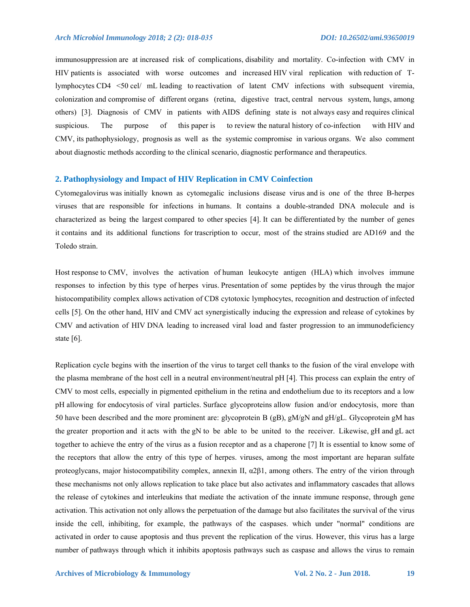immunosuppression are at increased risk of complications, disability and mortality. Co-infection with CMV in HIV patients is associated with worse outcomes and increased HIV viral replication with reduction of Tlymphocytes CD4 <50 cel/ mL leading to reactivation of latent CMV infections with subsequent viremia, colonization and compromise of different organs (retina, digestive tract, central nervous system, lungs, among others) [3]. Diagnosis of CMV in patients with AIDS defining state is not always easy and requires clinical suspicious. The purpose of this paper is to review the natural history of co-infection with HIV and CMV, its pathophysiology, prognosis as well as the systemic compromise in various organs. We also comment about diagnostic methods according to the clinical scenario, diagnostic performance and therapeutics.

## **2. Pathophysiology and Impact of HIV Replication in CMV Coinfection**

Cytomegalovirus was initially known as cytomegalic inclusions disease virus and is one of the three B-herpes viruses that are responsible for infections in humans. It contains a double-stranded DNA molecule and is characterized as being the largest compared to other species [4]. It can be differentiated by the number of genes it contains and its additional functions for trascription to occur, most of the strains studied are AD169 and the Toledo strain.

Host response to CMV, involves the activation of human leukocyte antigen (HLA) which involves immune responses to infection by this type of herpes virus. Presentation of some peptides by the virus through the major histocompatibility complex allows activation of CD8 cytotoxic lymphocytes, recognition and destruction of infected cells [5]. On the other hand, HIV and CMV act synergistically inducing the expression and release of cytokines by CMV and activation of HIV DNA leading to increased viral load and faster progression to an immunodeficiency state [6].

Replication cycle begins with the insertion of the virus to target cell thanks to the fusion of the viral envelope with the plasma membrane of the host cell in a neutral environment/neutral pH [4]. This process can explain the entry of CMV to most cells, especially in pigmented epithelium in the retina and endothelium due to its receptors and a low pH allowing for endocytosis of viral particles. Surface glycoproteins allow fusion and/or endocytosis, more than 50 have been described and the more prominent are: glycoprotein B (gB), gM/gN and gH/gL. Glycoprotein gM has the greater proportion and it acts with the gN to be able to be united to the receiver. Likewise, gH and gL act together to achieve the entry of the virus as a fusion receptor and as a chaperone [7] It is essential to know some of the receptors that allow the entry of this type of herpes. viruses, among the most important are heparan sulfate proteoglycans, major histocompatibility complex, annexin II,  $\alpha$ 2 $\beta$ 1, among others. The entry of the virion through these mechanisms not only allows replication to take place but also activates and inflammatory cascades that allows the release of cytokines and interleukins that mediate the activation of the innate immune response, through gene activation. This activation not only allows the perpetuation of the damage but also facilitates the survival of the virus inside the cell, inhibiting, for example, the pathways of the caspases. which under "normal" conditions are activated in order to cause apoptosis and thus prevent the replication of the virus. However, this virus has a large number of pathways through which it inhibits apoptosis pathways such as caspase and allows the virus to remain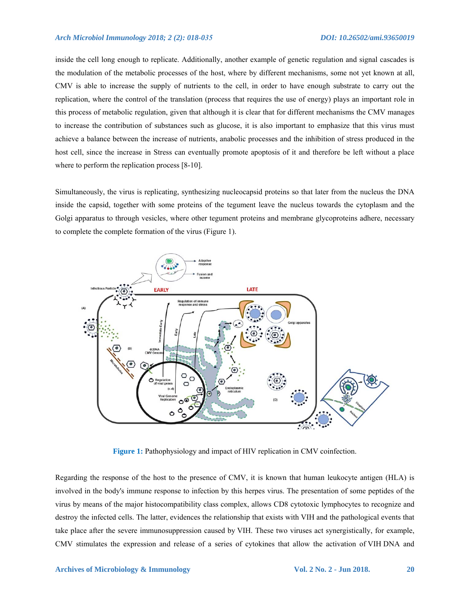#### *Arch Microbiol Immunology 2018; 2 (2): 018-035 DOI: 10.26502/ami.93650019*

inside the cell long enough to replicate. Additionally, another example of genetic regulation and signal cascades is the modulation of the metabolic processes of the host, where by different mechanisms, some not yet known at all, CMV is able to increase the supply of nutrients to the cell, in order to have enough substrate to carry out the replication, where the control of the translation (process that requires the use of energy) plays an important role in this process of metabolic regulation, given that although it is clear that for different mechanisms the CMV manages to increase the contribution of substances such as glucose, it is also important to emphasize that this virus must achieve a balance between the increase of nutrients, anabolic processes and the inhibition of stress produced in the host cell, since the increase in Stress can eventually promote apoptosis of it and therefore be left without a place where to perform the replication process [8-10].

Simultaneously, the virus is replicating, synthesizing nucleocapsid proteins so that later from the nucleus the DNA inside the capsid, together with some proteins of the tegument leave the nucleus towards the cytoplasm and the Golgi apparatus to through vesicles, where other tegument proteins and membrane glycoproteins adhere, necessary to complete the complete formation of the virus (Figure 1).



**Figure 1:** Pathophysiology and impact of HIV replication in CMV coinfection.

Regarding the response of the host to the presence of CMV, it is known that human leukocyte antigen (HLA) is involved in the body's immune response to infection by this herpes virus. The presentation of some peptides of the virus by means of the major histocompatibility class complex, allows CD8 cytotoxic lymphocytes to recognize and destroy the infected cells. The latter, evidences the relationship that exists with VIH and the pathological events that take place after the severe immunosuppression caused by VIH. These two viruses act synergistically, for example, CMV stimulates the expression and release of a series of cytokines that allow the activation of VIH DNA and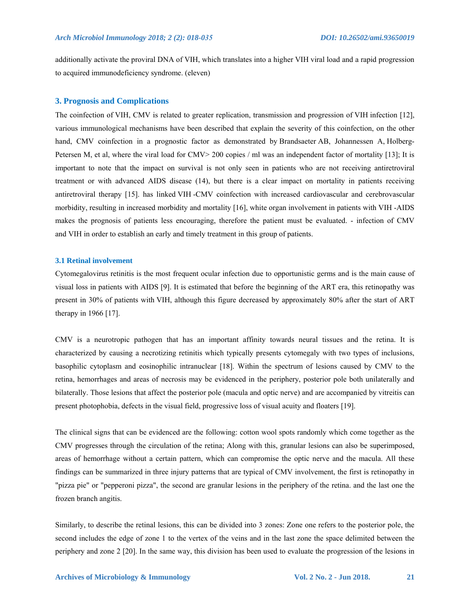additionally activate the proviral DNA of VIH, which translates into a higher VIH viral load and a rapid progression to acquired immunodeficiency syndrome. (eleven)

## **3. Prognosis and Complications**

The coinfection of VIH, CMV is related to greater replication, transmission and progression of VIH infection [12], various immunological mechanisms have been described that explain the severity of this coinfection, on the other hand, CMV coinfection in a prognostic factor as demonstrated by Brandsaeter AB, Johannessen A, Holberg-Petersen M, et al, where the viral load for CMV> 200 copies / ml was an independent factor of mortality [13]; It is important to note that the impact on survival is not only seen in patients who are not receiving antiretroviral treatment or with advanced AIDS disease (14), but there is a clear impact on mortality in patients receiving antiretroviral therapy [15]. has linked VIH -CMV coinfection with increased cardiovascular and cerebrovascular morbidity, resulting in increased morbidity and mortality [16], white organ involvement in patients with VIH -AIDS makes the prognosis of patients less encouraging, therefore the patient must be evaluated. - infection of CMV and VIH in order to establish an early and timely treatment in this group of patients.

#### **3.1 Retinal involvement**

Cytomegalovirus retinitis is the most frequent ocular infection due to opportunistic germs and is the main cause of visual loss in patients with AIDS [9]. It is estimated that before the beginning of the ART era, this retinopathy was present in 30% of patients with VIH, although this figure decreased by approximately 80% after the start of ART therapy in 1966 [17].

CMV is a neurotropic pathogen that has an important affinity towards neural tissues and the retina. It is characterized by causing a necrotizing retinitis which typically presents cytomegaly with two types of inclusions, basophilic cytoplasm and eosinophilic intranuclear [18]. Within the spectrum of lesions caused by CMV to the retina, hemorrhages and areas of necrosis may be evidenced in the periphery, posterior pole both unilaterally and bilaterally. Those lesions that affect the posterior pole (macula and optic nerve) and are accompanied by vitreitis can present photophobia, defects in the visual field, progressive loss of visual acuity and floaters [19].

The clinical signs that can be evidenced are the following: cotton wool spots randomly which come together as the CMV progresses through the circulation of the retina; Along with this, granular lesions can also be superimposed, areas of hemorrhage without a certain pattern, which can compromise the optic nerve and the macula. All these findings can be summarized in three injury patterns that are typical of CMV involvement, the first is retinopathy in "pizza pie" or "pepperoni pizza", the second are granular lesions in the periphery of the retina. and the last one the frozen branch angitis.

Similarly, to describe the retinal lesions, this can be divided into 3 zones: Zone one refers to the posterior pole, the second includes the edge of zone 1 to the vertex of the veins and in the last zone the space delimited between the periphery and zone 2 [20]. In the same way, this division has been used to evaluate the progression of the lesions in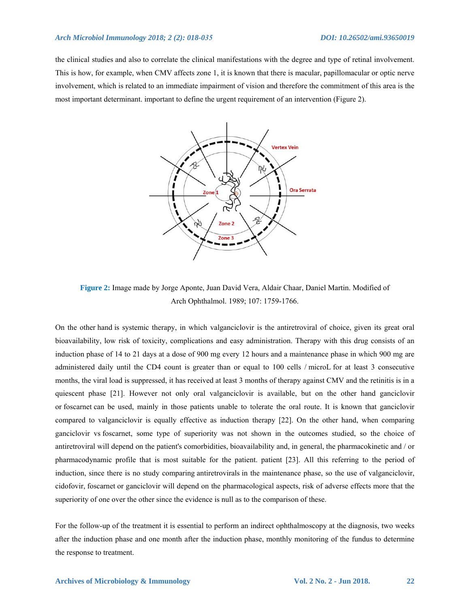#### *Arch Microbiol Immunology 2018; 2 (2): 018-035 DOI: 10.26502/ami.93650019*

the clinical studies and also to correlate the clinical manifestations with the degree and type of retinal involvement. This is how, for example, when CMV affects zone 1, it is known that there is macular, papillomacular or optic nerve involvement, which is related to an immediate impairment of vision and therefore the commitment of this area is the most important determinant. important to define the urgent requirement of an intervention (Figure 2).



**Figure 2:** Image made by Jorge Aponte, Juan David Vera, Aldair Chaar, Daniel Martin. Modified of Arch Ophthalmol. 1989; 107: 1759-1766.

On the other hand is systemic therapy, in which valganciclovir is the antiretroviral of choice, given its great oral bioavailability, low risk of toxicity, complications and easy administration. Therapy with this drug consists of an induction phase of 14 to 21 days at a dose of 900 mg every 12 hours and a maintenance phase in which 900 mg are administered daily until the CD4 count is greater than or equal to 100 cells / microL for at least 3 consecutive months, the viral load is suppressed, it has received at least 3 months of therapy against CMV and the retinitis is in a quiescent phase [21]. However not only oral valganciclovir is available, but on the other hand ganciclovir or foscarnet can be used, mainly in those patients unable to tolerate the oral route. It is known that ganciclovir compared to valganciclovir is equally effective as induction therapy [22]. On the other hand, when comparing ganciclovir vs foscarnet, some type of superiority was not shown in the outcomes studied, so the choice of antiretroviral will depend on the patient's comorbidities, bioavailability and, in general, the pharmacokinetic and / or pharmacodynamic profile that is most suitable for the patient. patient [23]. All this referring to the period of induction, since there is no study comparing antiretrovirals in the maintenance phase, so the use of valganciclovir, cidofovir, foscarnet or ganciclovir will depend on the pharmacological aspects, risk of adverse effects more that the superiority of one over the other since the evidence is null as to the comparison of these.

For the follow-up of the treatment it is essential to perform an indirect ophthalmoscopy at the diagnosis, two weeks after the induction phase and one month after the induction phase, monthly monitoring of the fundus to determine the response to treatment.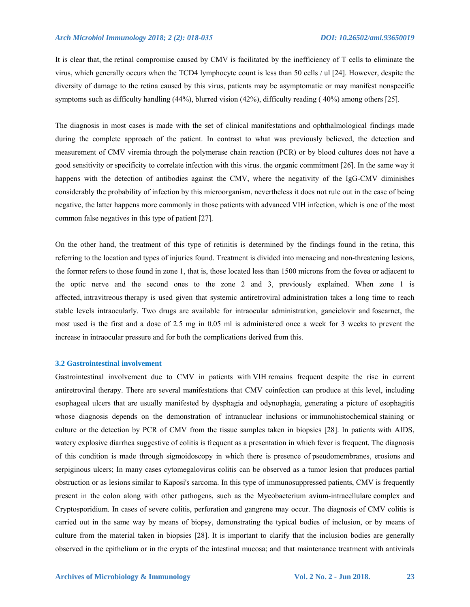It is clear that, the retinal compromise caused by CMV is facilitated by the inefficiency of T cells to eliminate the virus, which generally occurs when the TCD4 lymphocyte count is less than 50 cells / ul [24]. However, despite the diversity of damage to the retina caused by this virus, patients may be asymptomatic or may manifest nonspecific symptoms such as difficulty handling (44%), blurred vision (42%), difficulty reading ( 40%) among others [25].

The diagnosis in most cases is made with the set of clinical manifestations and ophthalmological findings made during the complete approach of the patient. In contrast to what was previously believed, the detection and measurement of CMV viremia through the polymerase chain reaction (PCR) or by blood cultures does not have a good sensitivity or specificity to correlate infection with this virus. the organic commitment [26]. In the same way it happens with the detection of antibodies against the CMV, where the negativity of the IgG-CMV diminishes considerably the probability of infection by this microorganism, nevertheless it does not rule out in the case of being negative, the latter happens more commonly in those patients with advanced VIH infection, which is one of the most common false negatives in this type of patient [27].

On the other hand, the treatment of this type of retinitis is determined by the findings found in the retina, this referring to the location and types of injuries found. Treatment is divided into menacing and non-threatening lesions, the former refers to those found in zone 1, that is, those located less than 1500 microns from the fovea or adjacent to the optic nerve and the second ones to the zone 2 and 3, previously explained. When zone 1 is affected, intravitreous therapy is used given that systemic antiretroviral administration takes a long time to reach stable levels intraocularly. Two drugs are available for intraocular administration, ganciclovir and foscarnet, the most used is the first and a dose of 2.5 mg in 0.05 ml is administered once a week for 3 weeks to prevent the increase in intraocular pressure and for both the complications derived from this.

## **3.2 Gastrointestinal involvement**

Gastrointestinal involvement due to CMV in patients with VIH remains frequent despite the rise in current antiretroviral therapy. There are several manifestations that CMV coinfection can produce at this level, including esophageal ulcers that are usually manifested by dysphagia and odynophagia, generating a picture of esophagitis whose diagnosis depends on the demonstration of intranuclear inclusions or immunohistochemical staining or culture or the detection by PCR of CMV from the tissue samples taken in biopsies [28]. In patients with AIDS, watery explosive diarrhea suggestive of colitis is frequent as a presentation in which fever is frequent. The diagnosis of this condition is made through sigmoidoscopy in which there is presence of pseudomembranes, erosions and serpiginous ulcers; In many cases cytomegalovirus colitis can be observed as a tumor lesion that produces partial obstruction or as lesions similar to Kaposi's sarcoma. In this type of immunosuppressed patients, CMV is frequently present in the colon along with other pathogens, such as the Mycobacterium avium-intracellulare complex and Cryptosporidium. In cases of severe colitis, perforation and gangrene may occur. The diagnosis of CMV colitis is carried out in the same way by means of biopsy, demonstrating the typical bodies of inclusion, or by means of culture from the material taken in biopsies [28]. It is important to clarify that the inclusion bodies are generally observed in the epithelium or in the crypts of the intestinal mucosa; and that maintenance treatment with antivirals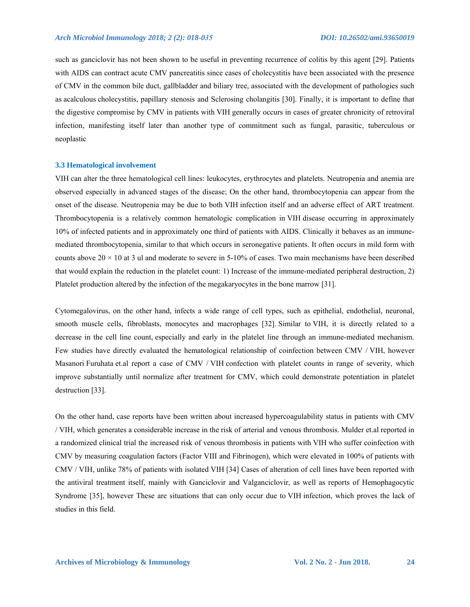such as ganciclovir has not been shown to be useful in preventing recurrence of colitis by this agent [29]. Patients with AIDS can contract acute CMV pancreatitis since cases of cholecystitis have been associated with the presence of CMV in the common bile duct, gallbladder and biliary tree, associated with the development of pathologies such as acalculous cholecystitis, papillary stenosis and Sclerosing cholangitis [30]. Finally, it is important to define that the digestive compromise by CMV in patients with VIH generally occurs in cases of greater chronicity of retroviral infection, manifesting itself later than another type of commitment such as fungal, parasitic, tuberculous or neoplastic

#### **3.3 Hematological involvement**

VIH can alter the three hematological cell lines: leukocytes, erythrocytes and platelets. Neutropenia and anemia are observed especially in advanced stages of the disease; On the other hand, thrombocytopenia can appear from the onset of the disease. Neutropenia may be due to both VIH infection itself and an adverse effect of ART treatment. Thrombocytopenia is a relatively common hematologic complication in VIH disease occurring in approximately 10% of infected patients and in approximately one third of patients with AIDS. Clinically it behaves as an immunemediated thrombocytopenia, similar to that which occurs in seronegative patients. It often occurs in mild form with counts above  $20 \times 10$  at 3 ul and moderate to severe in  $5-10\%$  of cases. Two main mechanisms have been described that would explain the reduction in the platelet count: 1) Increase of the immune-mediated peripheral destruction, 2) Platelet production altered by the infection of the megakaryocytes in the bone marrow [31].

Cytomegalovirus, on the other hand, infects a wide range of cell types, such as epithelial, endothelial, neuronal, smooth muscle cells, fibroblasts, monocytes and macrophages [32]. Similar to VIH, it is directly related to a decrease in the cell line count, especially and early in the platelet line through an immune-mediated mechanism. Few studies have directly evaluated the hematological relationship of coinfection between CMV / VIH, however Masanori Furuhata et.al report a case of CMV / VIH confection with platelet counts in range of severity, which improve substantially until normalize after treatment for CMV, which could demonstrate potentiation in platelet destruction [33].

On the other hand, case reports have been written about increased hypercoagulability status in patients with CMV / VIH, which generates a considerable increase in the risk of arterial and venous thrombosis. Mulder et.al reported in a randomized clinical trial the increased risk of venous thrombosis in patients with VIH who suffer coinfection with CMV by measuring coagulation factors (Factor VIII and Fibrinogen), which were elevated in 100% of patients with CMV / VIH, unlike 78% of patients with isolated VIH [34] Cases of alteration of cell lines have been reported with the antiviral treatment itself, mainly with Ganciclovir and Valganciclovir, as well as reports of Hemophagocytic Syndrome [35], however These are situations that can only occur due to VIH infection, which proves the lack of studies in this field.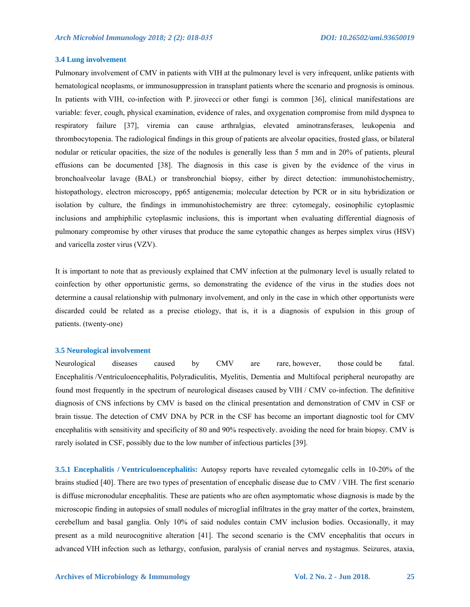#### **3.4 Lung involvement**

Pulmonary involvement of CMV in patients with VIH at the pulmonary level is very infrequent, unlike patients with hematological neoplasms, or immunosuppression in transplant patients where the scenario and prognosis is ominous. In patients with VIH, co-infection with P. jirovecci or other fungi is common [36], clinical manifestations are variable: fever, cough, physical examination, evidence of rales, and oxygenation compromise from mild dyspnea to respiratory failure [37], viremia can cause arthralgias, elevated aminotransferases, leukopenia and thrombocytopenia. The radiological findings in this group of patients are alveolar opacities, frosted glass, or bilateral nodular or reticular opacities, the size of the nodules is generally less than 5 mm and in 20% of patients, pleural effusions can be documented [38]. The diagnosis in this case is given by the evidence of the virus in bronchoalveolar lavage (BAL) or transbronchial biopsy, either by direct detection: immunohistochemistry, histopathology, electron microscopy, pp65 antigenemia; molecular detection by PCR or in situ hybridization or isolation by culture, the findings in immunohistochemistry are three: cytomegaly, eosinophilic cytoplasmic inclusions and amphiphilic cytoplasmic inclusions, this is important when evaluating differential diagnosis of pulmonary compromise by other viruses that produce the same cytopathic changes as herpes simplex virus (HSV) and varicella zoster virus (VZV).

It is important to note that as previously explained that CMV infection at the pulmonary level is usually related to coinfection by other opportunistic germs, so demonstrating the evidence of the virus in the studies does not determine a causal relationship with pulmonary involvement, and only in the case in which other opportunists were discarded could be related as a precise etiology, that is, it is a diagnosis of expulsion in this group of patients. (twenty-one)

#### **3.5 Neurological involvement**

Neurological diseases caused by CMV are rare, however, those could be fatal. Encephalitis /Ventriculoencephalitis, Polyradiculitis, Myelitis, Dementia and Multifocal peripheral neuropathy are found most frequently in the spectrum of neurological diseases caused by VIH / CMV co-infection. The definitive diagnosis of CNS infections by CMV is based on the clinical presentation and demonstration of CMV in CSF or brain tissue. The detection of CMV DNA by PCR in the CSF has become an important diagnostic tool for CMV encephalitis with sensitivity and specificity of 80 and 90% respectively. avoiding the need for brain biopsy. CMV is rarely isolated in CSF, possibly due to the low number of infectious particles [39].

**3.5.1 Encephalitis / Ventriculoencephalitis:** Autopsy reports have revealed cytomegalic cells in 10-20% of the brains studied [40]. There are two types of presentation of encephalic disease due to CMV / VIH. The first scenario is diffuse micronodular encephalitis. These are patients who are often asymptomatic whose diagnosis is made by the microscopic finding in autopsies of small nodules of microglial infiltrates in the gray matter of the cortex, brainstem, cerebellum and basal ganglia. Only 10% of said nodules contain CMV inclusion bodies. Occasionally, it may present as a mild neurocognitive alteration [41]. The second scenario is the CMV encephalitis that occurs in advanced VIH infection such as lethargy, confusion, paralysis of cranial nerves and nystagmus. Seizures, ataxia,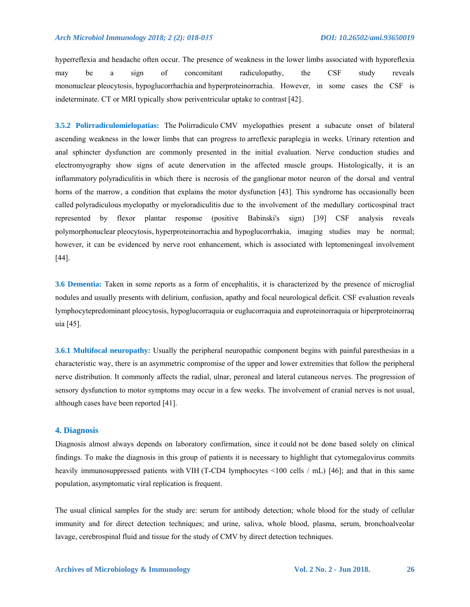hyperreflexia and headache often occur. The presence of weakness in the lower limbs associated with hyporeflexia may be a sign of concomitant radiculopathy, the CSF study reveals mononuclear pleocytosis, hypoglucorrhachia and hyperproteinorrachia. However, in some cases the CSF is indeterminate. CT or MRI typically show periventricular uptake to contrast [42].

**3.5.2 Polirradiculomielopatias:** The Polirradiculo CMV myelopathies present a subacute onset of bilateral ascending weakness in the lower limbs that can progress to arreflexic paraplegia in weeks. Urinary retention and anal sphincter dysfunction are commonly presented in the initial evaluation. Nerve conduction studies and electromyography show signs of acute denervation in the affected muscle groups. Histologically, it is an inflammatory polyradiculitis in which there is necrosis of the ganglionar motor neuron of the dorsal and ventral horns of the marrow, a condition that explains the motor dysfunction [43]. This syndrome has occasionally been called polyradiculous myelopathy or myeloradiculitis due to the involvement of the medullary corticospinal tract represented by flexor plantar response (positive Babinski's sign) [39] CSF analysis reveals polymorphonuclear pleocytosis, hyperproteinorrachia and hypoglucorrhakia, imaging studies may be normal; however, it can be evidenced by nerve root enhancement, which is associated with leptomeningeal involvement [44].

**3.6 Dementia:** Taken in some reports as a form of encephalitis, it is characterized by the presence of microglial nodules and usually presents with delirium, confusion, apathy and focal neurological deficit. CSF evaluation reveals lymphocytepredominant pleocytosis, hypoglucorraquia or euglucorraquia and euproteinorraquia or hiperproteinorraq uia [45].

**3.6.1 Multifocal neuropathy:** Usually the peripheral neuropathic component begins with painful paresthesias in a characteristic way, there is an asymmetric compromise of the upper and lower extremities that follow the peripheral nerve distribution. It commonly affects the radial, ulnar, peroneal and lateral cutaneous nerves. The progression of sensory dysfunction to motor symptoms may occur in a few weeks. The involvement of cranial nerves is not usual, although cases have been reported [41].

## **4. Diagnosis**

Diagnosis almost always depends on laboratory confirmation, since it could not be done based solely on clinical findings. To make the diagnosis in this group of patients it is necessary to highlight that cytomegalovirus commits heavily immunosuppressed patients with VIH (T-CD4 lymphocytes <100 cells / mL) [46]; and that in this same population, asymptomatic viral replication is frequent.

The usual clinical samples for the study are: serum for antibody detection; whole blood for the study of cellular immunity and for direct detection techniques; and urine, saliva, whole blood, plasma, serum, bronchoalveolar lavage, cerebrospinal fluid and tissue for the study of CMV by direct detection techniques.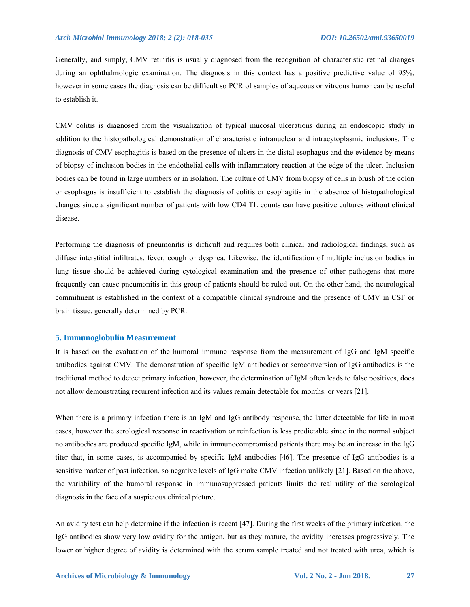Generally, and simply, CMV retinitis is usually diagnosed from the recognition of characteristic retinal changes during an ophthalmologic examination. The diagnosis in this context has a positive predictive value of 95%, however in some cases the diagnosis can be difficult so PCR of samples of aqueous or vitreous humor can be useful to establish it.

CMV colitis is diagnosed from the visualization of typical mucosal ulcerations during an endoscopic study in addition to the histopathological demonstration of characteristic intranuclear and intracytoplasmic inclusions. The diagnosis of CMV esophagitis is based on the presence of ulcers in the distal esophagus and the evidence by means of biopsy of inclusion bodies in the endothelial cells with inflammatory reaction at the edge of the ulcer. Inclusion bodies can be found in large numbers or in isolation. The culture of CMV from biopsy of cells in brush of the colon or esophagus is insufficient to establish the diagnosis of colitis or esophagitis in the absence of histopathological changes since a significant number of patients with low CD4 TL counts can have positive cultures without clinical disease.

Performing the diagnosis of pneumonitis is difficult and requires both clinical and radiological findings, such as diffuse interstitial infiltrates, fever, cough or dyspnea. Likewise, the identification of multiple inclusion bodies in lung tissue should be achieved during cytological examination and the presence of other pathogens that more frequently can cause pneumonitis in this group of patients should be ruled out. On the other hand, the neurological commitment is established in the context of a compatible clinical syndrome and the presence of CMV in CSF or brain tissue, generally determined by PCR.

#### **5. Immunoglobulin Measurement**

It is based on the evaluation of the humoral immune response from the measurement of IgG and IgM specific antibodies against CMV. The demonstration of specific IgM antibodies or seroconversion of IgG antibodies is the traditional method to detect primary infection, however, the determination of IgM often leads to false positives, does not allow demonstrating recurrent infection and its values remain detectable for months. or years [21].

When there is a primary infection there is an IgM and IgG antibody response, the latter detectable for life in most cases, however the serological response in reactivation or reinfection is less predictable since in the normal subject no antibodies are produced specific IgM, while in immunocompromised patients there may be an increase in the IgG titer that, in some cases, is accompanied by specific IgM antibodies [46]. The presence of IgG antibodies is a sensitive marker of past infection, so negative levels of IgG make CMV infection unlikely [21]. Based on the above, the variability of the humoral response in immunosuppressed patients limits the real utility of the serological diagnosis in the face of a suspicious clinical picture.

An avidity test can help determine if the infection is recent [47]. During the first weeks of the primary infection, the IgG antibodies show very low avidity for the antigen, but as they mature, the avidity increases progressively. The lower or higher degree of avidity is determined with the serum sample treated and not treated with urea, which is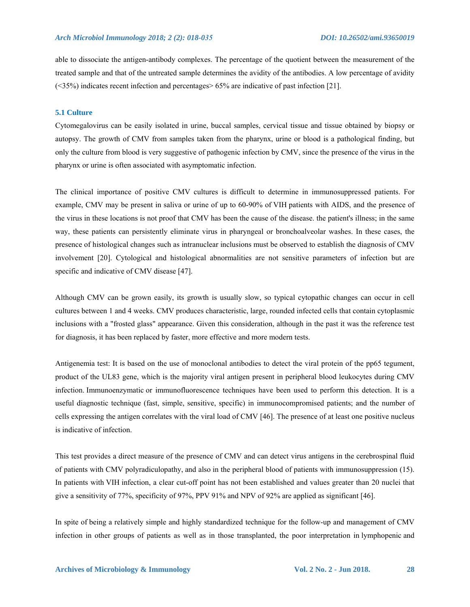able to dissociate the antigen-antibody complexes. The percentage of the quotient between the measurement of the treated sample and that of the untreated sample determines the avidity of the antibodies. A low percentage of avidity (<35%) indicates recent infection and percentages> 65% are indicative of past infection [21].

#### **5.1 Culture**

Cytomegalovirus can be easily isolated in urine, buccal samples, cervical tissue and tissue obtained by biopsy or autopsy. The growth of CMV from samples taken from the pharynx, urine or blood is a pathological finding, but only the culture from blood is very suggestive of pathogenic infection by CMV, since the presence of the virus in the pharynx or urine is often associated with asymptomatic infection.

The clinical importance of positive CMV cultures is difficult to determine in immunosuppressed patients. For example, CMV may be present in saliva or urine of up to 60-90% of VIH patients with AIDS, and the presence of the virus in these locations is not proof that CMV has been the cause of the disease. the patient's illness; in the same way, these patients can persistently eliminate virus in pharyngeal or bronchoalveolar washes. In these cases, the presence of histological changes such as intranuclear inclusions must be observed to establish the diagnosis of CMV involvement [20]. Cytological and histological abnormalities are not sensitive parameters of infection but are specific and indicative of CMV disease [47].

Although CMV can be grown easily, its growth is usually slow, so typical cytopathic changes can occur in cell cultures between 1 and 4 weeks. CMV produces characteristic, large, rounded infected cells that contain cytoplasmic inclusions with a "frosted glass" appearance. Given this consideration, although in the past it was the reference test for diagnosis, it has been replaced by faster, more effective and more modern tests.

Antigenemia test: It is based on the use of monoclonal antibodies to detect the viral protein of the pp65 tegument, product of the UL83 gene, which is the majority viral antigen present in peripheral blood leukocytes during CMV infection. Immunoenzymatic or immunofluorescence techniques have been used to perform this detection. It is a useful diagnostic technique (fast, simple, sensitive, specific) in immunocompromised patients; and the number of cells expressing the antigen correlates with the viral load of CMV [46]. The presence of at least one positive nucleus is indicative of infection.

This test provides a direct measure of the presence of CMV and can detect virus antigens in the cerebrospinal fluid of patients with CMV polyradiculopathy, and also in the peripheral blood of patients with immunosuppression (15). In patients with VIH infection, a clear cut-off point has not been established and values greater than 20 nuclei that give a sensitivity of 77%, specificity of 97%, PPV 91% and NPV of 92% are applied as significant [46].

In spite of being a relatively simple and highly standardized technique for the follow-up and management of CMV infection in other groups of patients as well as in those transplanted, the poor interpretation in lymphopenic and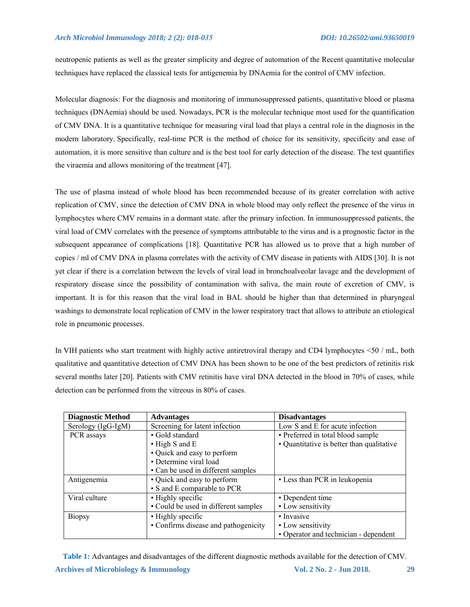neutropenic patients as well as the greater simplicity and degree of automation of the Recent quantitative molecular techniques have replaced the classical tests for antigenemia by DNAemia for the control of CMV infection.

Molecular diagnosis: For the diagnosis and monitoring of immunosuppressed patients, quantitative blood or plasma techniques (DNAemia) should be used. Nowadays, PCR is the molecular technique most used for the quantification of CMV DNA. It is a quantitative technique for measuring viral load that plays a central role in the diagnosis in the modern laboratory. Specifically, real-time PCR is the method of choice for its sensitivity, specificity and ease of automation, it is more sensitive than culture and is the best tool for early detection of the disease. The test quantifies the viraemia and allows monitoring of the treatment [47].

The use of plasma instead of whole blood has been recommended because of its greater correlation with active replication of CMV, since the detection of CMV DNA in whole blood may only reflect the presence of the virus in lymphocytes where CMV remains in a dormant state. after the primary infection. In immunosuppressed patients, the viral load of CMV correlates with the presence of symptoms attributable to the virus and is a prognostic factor in the subsequent appearance of complications [18]. Quantitative PCR has allowed us to prove that a high number of copies / ml of CMV DNA in plasma correlates with the activity of CMV disease in patients with AIDS [30]. It is not yet clear if there is a correlation between the levels of viral load in bronchoalveolar lavage and the development of respiratory disease since the possibility of contamination with saliva, the main route of excretion of CMV, is important. It is for this reason that the viral load in BAL should be higher than that determined in pharyngeal washings to demonstrate local replication of CMV in the lower respiratory tract that allows to attribute an etiological role in pneumonic processes.

In VIH patients who start treatment with highly active antiretroviral therapy and CD4 lymphocytes <50 / mL, both qualitative and quantitative detection of CMV DNA has been shown to be one of the best predictors of retinitis risk several months later [20]. Patients with CMV retinitis have viral DNA detected in the blood in 70% of cases, while detection can be performed from the vitreous in 80% of cases.

| <b>Diagnostic Method</b> | <b>Advantages</b>                    | <b>Disadvantages</b>                      |  |  |
|--------------------------|--------------------------------------|-------------------------------------------|--|--|
| Serology (IgG-IgM)       | Screening for latent infection       | Low S and E for acute infection           |  |  |
| PCR assays               | • Gold standard                      | • Preferred in total blood sample         |  |  |
|                          | $\bullet$ High S and E               | • Quantitative is better than qualitative |  |  |
|                          | • Quick and easy to perform          |                                           |  |  |
|                          | • Determine viral load               |                                           |  |  |
|                          | • Can be used in different samples   |                                           |  |  |
| Antigenemia              | • Quick and easy to perform          | • Less than PCR in leukopenia             |  |  |
|                          | • S and E comparable to PCR          |                                           |  |  |
| Viral culture            | • Highly specific                    | • Dependent time                          |  |  |
|                          | • Could be used in different samples | • Low sensitivity                         |  |  |
| <b>Biopsy</b>            | • Highly specific                    | • Invasive                                |  |  |
|                          | • Confirms disease and pathogenicity | • Low sensitivity                         |  |  |
|                          |                                      | • Operator and technician - dependent     |  |  |

**Archives of Microbiology & Immunology 2018.** 29 **Vol. 2 No. 2 - Jun 2018.** 29 **Table 1:** Advantages and disadvantages of the different diagnostic methods available for the detection of CMV.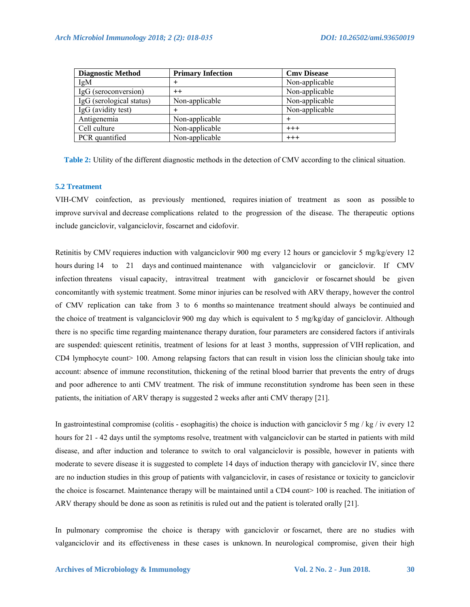| <b>Diagnostic Method</b> | <b>Primary Infection</b> | <b>Cmv Disease</b> |  |
|--------------------------|--------------------------|--------------------|--|
| IgM                      |                          | Non-applicable     |  |
| IgG (seroconversion)     | $++$                     | Non-applicable     |  |
| IgG (serological status) | Non-applicable           | Non-applicable     |  |
| IgG (avidity test)       |                          | Non-applicable     |  |
| Antigenemia              | Non-applicable           |                    |  |
| Cell culture             | Non-applicable           | $+++$              |  |
| PCR quantified           | Non-applicable           | $+++$              |  |

**Table 2:** Utility of the different diagnostic methods in the detection of CMV according to the clinical situation.

## **5.2 Treatment**

VIH-CMV coinfection, as previously mentioned, requires iniation of treatment as soon as possible to improve survival and decrease complications related to the progression of the disease. The therapeutic options include ganciclovir, valganciclovir, foscarnet and cidofovir.

Retinitis by CMV requieres induction with valganciclovir 900 mg every 12 hours or ganciclovir 5 mg/kg/every 12 hours during 14 to 21 days and continued maintenance with valganciclovir or ganciclovir. If CMV infection threatens visual capacity, intravitreal treatment with ganciclovir or foscarnet should be given concomitantly with systemic treatment. Some minor injuries can be resolved with ARV therapy, however the control of CMV replication can take from 3 to 6 months so maintenance treatment should always be continuied and the choice of treatment is valganciclovir 900 mg day which is equivalent to 5 mg/kg/day of ganciclovir. Although there is no specific time regarding maintenance therapy duration, four parameters are considered factors if antivirals are suspended: quiescent retinitis, treatment of lesions for at least 3 months, suppression of VIH replication, and CD4 lymphocyte count> 100. Among relapsing factors that can result in vision loss the clinician shoulg take into account: absence of immune reconstitution, thickening of the retinal blood barrier that prevents the entry of drugs and poor adherence to anti CMV treatment. The risk of immune reconstitution syndrome has been seen in these patients, the initiation of ARV therapy is suggested 2 weeks after anti CMV therapy [21].

In gastrointestinal compromise (colitis - esophagitis) the choice is induction with ganciclovir 5 mg / kg / iv every 12 hours for 21 - 42 days until the symptoms resolve, treatment with valganciclovir can be started in patients with mild disease, and after induction and tolerance to switch to oral valganciclovir is possible, however in patients with moderate to severe disease it is suggested to complete 14 days of induction therapy with ganciclovir IV, since there are no induction studies in this group of patients with valganciclovir, in cases of resistance or toxicity to ganciclovir the choice is foscarnet. Maintenance therapy will be maintained until a CD4 count> 100 is reached. The initiation of ARV therapy should be done as soon as retinitis is ruled out and the patient is tolerated orally [21].

In pulmonary compromise the choice is therapy with ganciclovir or foscarnet, there are no studies with valganciclovir and its effectiveness in these cases is unknown. In neurological compromise, given their high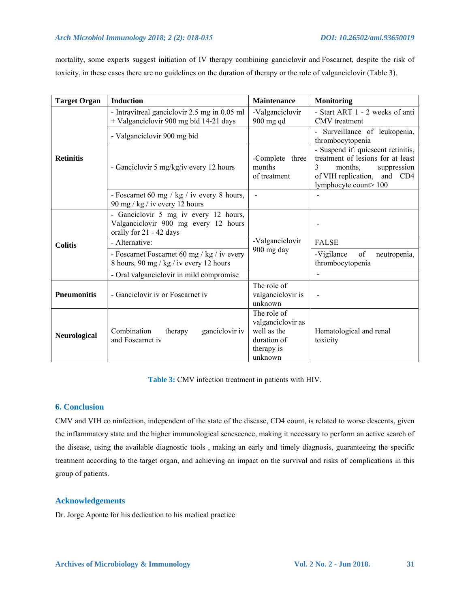## *Arch Microbiol Immunology 2018; 2 (2): 018-035 DOI: 10.26502/ami.93650019*

mortality, some experts suggest initiation of IV therapy combining ganciclovir and Foscarnet, despite the risk of toxicity, in these cases there are no guidelines on the duration of therapy or the role of valganciclovir (Table 3).

| <b>Target Organ</b> | <b>Induction</b>                                                                                         | <b>Maintenance</b>                                                                      | <b>Monitoring</b>                                                                                                                                                         |
|---------------------|----------------------------------------------------------------------------------------------------------|-----------------------------------------------------------------------------------------|---------------------------------------------------------------------------------------------------------------------------------------------------------------------------|
| <b>Retinitis</b>    | - Intravitreal ganciclovir 2.5 mg in 0.05 ml<br>+ Valganciclovir 900 mg bid 14-21 days                   | -Valganciclovir<br>900 mg qd                                                            | - Start ART 1 - 2 weeks of anti<br>CMV treatment                                                                                                                          |
|                     | - Valganciclovir 900 mg bid                                                                              |                                                                                         | - Surveillance of leukopenia,<br>thrombocytopenia                                                                                                                         |
|                     | - Ganciclovir 5 mg/kg/iv every 12 hours                                                                  | -Complete three<br>months<br>of treatment                                               | - Suspend if: quiescent retinitis,<br>treatment of lesions for at least<br>$\mathcal{E}$<br>months,<br>suppression<br>of VIH replication, and CD4<br>lymphocyte count>100 |
|                     | - Foscarnet 60 mg / kg / iv every 8 hours,<br>90 mg / kg / iv every 12 hours                             | $\overline{\phantom{a}}$                                                                |                                                                                                                                                                           |
| <b>Colitis</b>      | - Ganciclovir 5 mg iv every 12 hours,<br>Valganciclovir 900 mg every 12 hours<br>orally for 21 - 42 days |                                                                                         |                                                                                                                                                                           |
|                     | - Alternative:                                                                                           | -Valganciclovir<br>900 mg day                                                           | <b>FALSE</b>                                                                                                                                                              |
|                     | - Foscarnet Foscarnet 60 mg / kg / iv every<br>8 hours, 90 mg / kg / iv every 12 hours                   |                                                                                         | of<br>-Vigilance<br>neutropenia,<br>thrombocytopenia                                                                                                                      |
|                     | - Oral valganciclovir in mild compromise                                                                 |                                                                                         |                                                                                                                                                                           |
| <b>Pneumonitis</b>  | - Ganciclovir iv or Foscarnet iv                                                                         | The role of<br>valganciclovir is<br>unknown                                             |                                                                                                                                                                           |
| <b>Neurological</b> | Combination<br>ganciclovir iv<br>therapy<br>and Foscarnet iv                                             | The role of<br>valganciclovir as<br>well as the<br>duration of<br>therapy is<br>unknown | Hematological and renal<br>toxicity                                                                                                                                       |

**Table 3:** CMV infection treatment in patients with HIV.

## **6. Conclusion**

CMV and VIH co ninfection, independent of the state of the disease, CD4 count, is related to worse descents, given the inflammatory state and the higher immunological senescence, making it necessary to perform an active search of the disease, using the available diagnostic tools , making an early and timely diagnosis, guaranteeing the specific treatment according to the target organ, and achieving an impact on the survival and risks of complications in this group of patients.

## **Acknowledgements**

Dr. Jorge Aponte for his dedication to his medical practice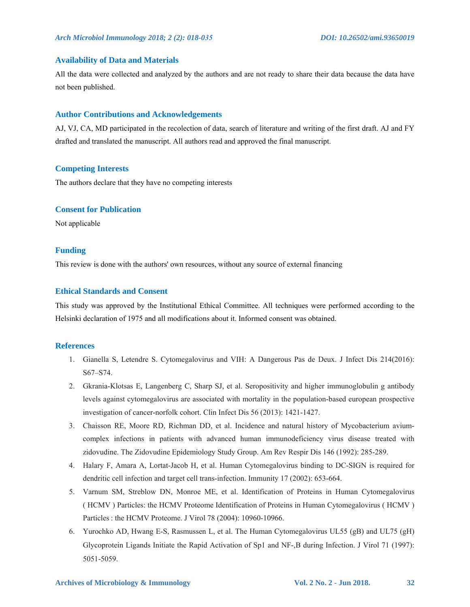#### **Availability of Data and Materials**

All the data were collected and analyzed by the authors and are not ready to share their data because the data have not been published.

#### **Author Contributions and Acknowledgements**

AJ, VJ, CA, MD participated in the recolection of data, search of literature and writing of the first draft. AJ and FY drafted and translated the manuscript. All authors read and approved the final manuscript.

## **Competing Interests**

The authors declare that they have no competing interests

## **Consent for Publication**

Not applicable

#### **Funding**

This review is done with the authors' own resources, without any source of external financing

## **Ethical Standards and Consent**

This study was approved by the Institutional Ethical Committee. All techniques were performed according to the Helsinki declaration of 1975 and all modifications about it. Informed consent was obtained.

#### **References**

- 1. Gianella S, Letendre S. Cytomegalovirus and VIH: A Dangerous Pas de Deux. J Infect Dis 214(2016): S67–S74.
- 2. Gkrania-Klotsas E, Langenberg C, Sharp SJ, et al. Seropositivity and higher immunoglobulin g antibody levels against cytomegalovirus are associated with mortality in the population-based european prospective investigation of cancer-norfolk cohort. Clin Infect Dis 56 (2013): 1421-1427.
- 3. Chaisson RE, Moore RD, Richman DD, et al. Incidence and natural history of Mycobacterium aviumcomplex infections in patients with advanced human immunodeficiency virus disease treated with zidovudine. The Zidovudine Epidemiology Study Group. Am Rev Respir Dis 146 (1992): 285-289.
- 4. Halary F, Amara A, Lortat-Jacob H, et al. Human Cytomegalovirus binding to DC-SIGN is required for dendritic cell infection and target cell trans-infection. Immunity 17 (2002): 653-664.
- 5. Varnum SM, Streblow DN, Monroe ME, et al. Identification of Proteins in Human Cytomegalovirus ( HCMV ) Particles: the HCMV Proteome Identification of Proteins in Human Cytomegalovirus ( HCMV ) Particles : the HCMV Proteome. J Virol 78 (2004): 10960-10966.
- 6. Yurochko AD, Hwang E-S, Rasmussen L, et al. The Human Cytomegalovirus UL55 (gB) and UL75 (gH) Glycoprotein Ligands Initiate the Rapid Activation of Sp1 and NF-B during Infection. J Virol 71 (1997): 5051-5059.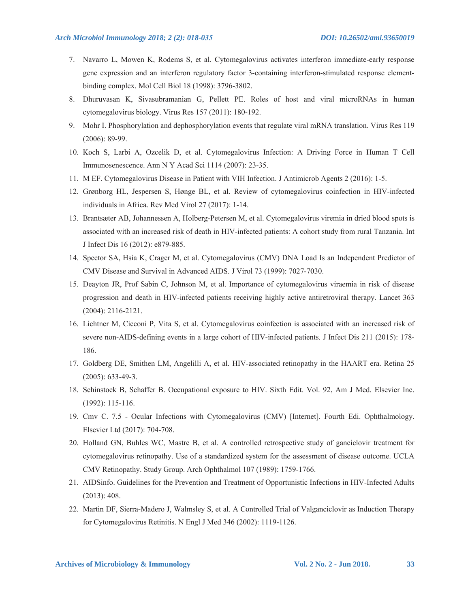- 7. Navarro L, Mowen K, Rodems S, et al. Cytomegalovirus activates interferon immediate-early response gene expression and an interferon regulatory factor 3-containing interferon-stimulated response elementbinding complex. Mol Cell Biol 18 (1998): 3796-3802.
- 8. Dhuruvasan K, Sivasubramanian G, Pellett PE. Roles of host and viral microRNAs in human cytomegalovirus biology. Virus Res 157 (2011): 180-192.
- 9. Mohr I. Phosphorylation and dephosphorylation events that regulate viral mRNA translation. Virus Res 119 (2006): 89-99.
- 10. Koch S, Larbi A, Ozcelik D, et al. Cytomegalovirus Infection: A Driving Force in Human T Cell Immunosenescence. Ann N Y Acad Sci 1114 (2007): 23-35.
- 11. M EF. Cytomegalovirus Disease in Patient with VIH Infection. J Antimicrob Agents 2 (2016): 1-5.
- 12. Grønborg HL, Jespersen S, Hønge BL, et al. Review of cytomegalovirus coinfection in HIV-infected individuals in Africa. Rev Med Virol 27 (2017): 1-14.
- 13. Brantsæter AB, Johannessen A, Holberg-Petersen M, et al. Cytomegalovirus viremia in dried blood spots is associated with an increased risk of death in HIV-infected patients: A cohort study from rural Tanzania. Int J Infect Dis 16 (2012): e879-885.
- 14. Spector SA, Hsia K, Crager M, et al. Cytomegalovirus (CMV) DNA Load Is an Independent Predictor of CMV Disease and Survival in Advanced AIDS. J Virol 73 (1999): 7027-7030.
- 15. Deayton JR, Prof Sabin C, Johnson M, et al. Importance of cytomegalovirus viraemia in risk of disease progression and death in HIV-infected patients receiving highly active antiretroviral therapy. Lancet 363 (2004): 2116-2121.
- 16. Lichtner M, Cicconi P, Vita S, et al. Cytomegalovirus coinfection is associated with an increased risk of severe non-AIDS-defining events in a large cohort of HIV-infected patients. J Infect Dis 211 (2015): 178- 186.
- 17. Goldberg DE, Smithen LM, Angelilli A, et al. HIV-associated retinopathy in the HAART era. Retina 25 (2005): 633-49-3.
- 18. Schinstock B, Schaffer B. Occupational exposure to HIV. Sixth Edit. Vol. 92, Am J Med. Elsevier Inc. (1992): 115-116.
- 19. Cmv C. 7.5 Ocular Infections with Cytomegalovirus (CMV) [Internet]. Fourth Edi. Ophthalmology. Elsevier Ltd (2017): 704-708.
- 20. Holland GN, Buhles WC, Mastre B, et al. A controlled retrospective study of ganciclovir treatment for cytomegalovirus retinopathy. Use of a standardized system for the assessment of disease outcome. UCLA CMV Retinopathy. Study Group. Arch Ophthalmol 107 (1989): 1759-1766.
- 21. AIDSinfo. Guidelines for the Prevention and Treatment of Opportunistic Infections in HIV-Infected Adults (2013): 408.
- 22. Martin DF, Sierra-Madero J, Walmsley S, et al. A Controlled Trial of Valganciclovir as Induction Therapy for Cytomegalovirus Retinitis. N Engl J Med 346 (2002): 1119-1126.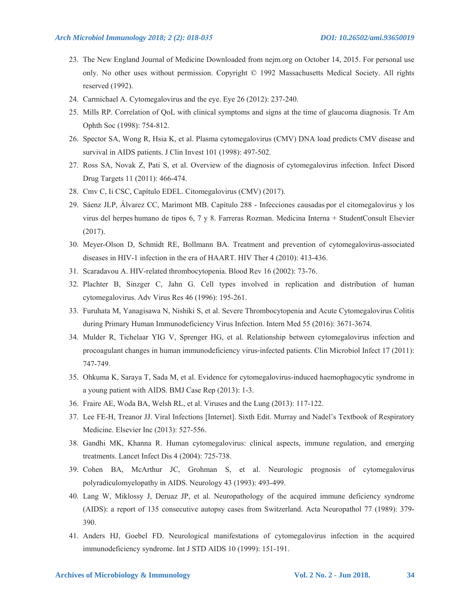- 23. The New England Journal of Medicine Downloaded from nejm.org on October 14, 2015. For personal use only. No other uses without permission. Copyright © 1992 Massachusetts Medical Society. All rights reserved (1992).
- 24. Carmichael A. Cytomegalovirus and the eye. Eye 26 (2012): 237-240.
- 25. Mills RP. Correlation of QoL with clinical symptoms and signs at the time of glaucoma diagnosis. Tr Am Ophth Soc (1998): 754-812.
- 26. Spector SA, Wong R, Hsia K, et al. Plasma cytomegalovirus (CMV) DNA load predicts CMV disease and survival in AIDS patients. J Clin Invest 101 (1998): 497-502.
- 27. Ross SA, Novak Z, Pati S, et al. Overview of the diagnosis of cytomegalovirus infection. Infect Disord Drug Targets 11 (2011): 466-474.
- 28. Cmv C, Ii CSC, Capítulo EDEL. Citomegalovirus (CMV) (2017).
- 29. Sáenz JLP, Álvarez CC, Marimont MB. Capítulo 288 Infecciones causadas por el citomegalovirus y los virus del herpes humano de tipos 6, 7 y 8. Farreras Rozman. Medicina Interna + StudentConsult Elsevier (2017).
- 30. Meyer-Olson D, Schmidt RE, Bollmann BA. Treatment and prevention of cytomegalovirus-associated diseases in HIV-1 infection in the era of HAART. HIV Ther 4 (2010): 413-436.
- 31. Scaradavou A. HIV-related thrombocytopenia. Blood Rev 16 (2002): 73-76.
- 32. Plachter B, Sinzger C, Jahn G. Cell types involved in replication and distribution of human cytomegalovirus. Adv Virus Res 46 (1996): 195-261.
- 33. Furuhata M, Yanagisawa N, Nishiki S, et al. Severe Thrombocytopenia and Acute Cytomegalovirus Colitis during Primary Human Immunodeficiency Virus Infection. Intern Med 55 (2016): 3671-3674.
- 34. Mulder R, Tichelaar YIG V, Sprenger HG, et al. Relationship between cytomegalovirus infection and procoagulant changes in human immunodeficiency virus-infected patients. Clin Microbiol Infect 17 (2011): 747-749.
- 35. Ohkuma K, Saraya T, Sada M, et al. Evidence for cytomegalovirus-induced haemophagocytic syndrome in a young patient with AIDS. BMJ Case Rep (2013): 1-3.
- 36. Fraire AE, Woda BA, Welsh RL, et al. Viruses and the Lung (2013): 117-122.
- 37. Lee FE-H, Treanor JJ. Viral Infections [Internet]. Sixth Edit. Murray and Nadel's Textbook of Respiratory Medicine. Elsevier Inc (2013): 527-556.
- 38. Gandhi MK, Khanna R. Human cytomegalovirus: clinical aspects, immune regulation, and emerging treatments. Lancet Infect Dis 4 (2004): 725-738.
- 39. Cohen BA, McArthur JC, Grohman S, et al. Neurologic prognosis of cytomegalovirus polyradiculomyelopathy in AIDS. Neurology 43 (1993): 493-499.
- 40. Lang W, Miklossy J, Deruaz JP, et al. Neuropathology of the acquired immune deficiency syndrome (AIDS): a report of 135 consecutive autopsy cases from Switzerland. Acta Neuropathol 77 (1989): 379- 390.
- 41. Anders HJ, Goebel FD. Neurological manifestations of cytomegalovirus infection in the acquired immunodeficiency syndrome. Int J STD AIDS 10 (1999): 151-191.